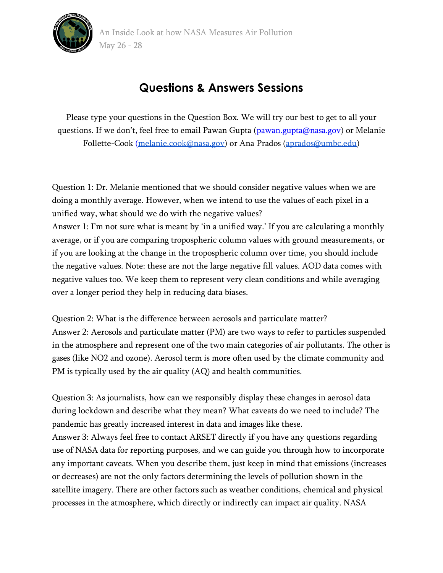

## **Questions & Answers Sessions**

Please type your questions in the Question Box. We will try our best to get to all your questions. If we don't, feel free to email Pawan Gupta ([pawan.gupta@nasa.gov\)](mailto:pawan.gupta@nasa.gov) or Melanie Follette-Cook [\(melanie.cook@nasa.gov\)](mailto:melanie.cook@nasa.gov) or Ana Prados [\(aprados@umbc.edu\)](mailto:aprados@umbc.edu)

Question 1: Dr. Melanie mentioned that we should consider negative values when we are doing a monthly average. However, when we intend to use the values of each pixel in a unified way, what should we do with the negative values?

Answer 1: I'm not sure what is meant by 'in a unified way.' If you are calculating a monthly average, or if you are comparing tropospheric column values with ground measurements, or if you are looking at the change in the tropospheric column over time, you should include the negative values. Note: these are not the large negative fill values. AOD data comes with negative values too. We keep them to represent very clean conditions and while averaging over a longer period they help in reducing data biases.

Question 2: What is the difference between aerosols and particulate matter? Answer 2: Aerosols and particulate matter (PM) are two ways to refer to particles suspended in the atmosphere and represent one of the two main categories of air pollutants. The other is gases (like NO2 and ozone). Aerosol term is more often used by the climate community and PM is typically used by the air quality (AQ) and health communities.

Question 3: As journalists, how can we responsibly display these changes in aerosol data during lockdown and describe what they mean? What caveats do we need to include? The pandemic has greatly increased interest in data and images like these.

Answer 3: Always feel free to contact ARSET directly if you have any questions regarding use of NASA data for reporting purposes, and we can guide you through how to incorporate any important caveats. When you describe them, just keep in mind that emissions (increases or decreases) are not the only factors determining the levels of pollution shown in the satellite imagery. There are other factors such as weather conditions, chemical and physical processes in the atmosphere, which directly or indirectly can impact air quality. NASA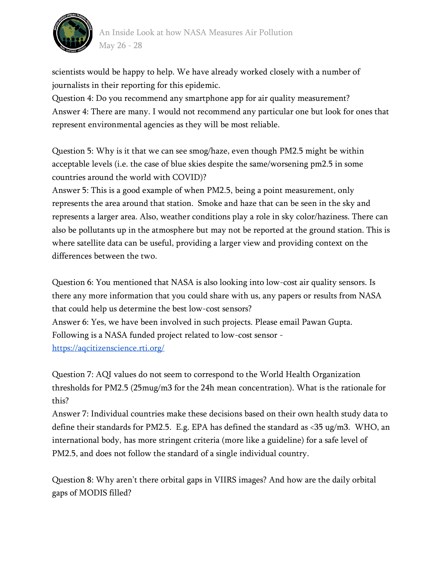

scientists would be happy to help. We have already worked closely with a number of journalists in their reporting for this epidemic.

Question 4: Do you recommend any smartphone app for air quality measurement? Answer 4: There are many. I would not recommend any particular one but look for ones that represent environmental agencies as they will be most reliable.

Question 5: Why is it that we can see smog/haze, even though PM2.5 might be within acceptable levels (i.e. the case of blue skies despite the same/worsening pm2.5 in some countries around the world with COVID)?

Answer 5: This is a good example of when PM2.5, being a point measurement, only represents the area around that station. Smoke and haze that can be seen in the sky and represents a larger area. Also, weather conditions play a role in sky color/haziness. There can also be pollutants up in the atmosphere but may not be reported at the ground station. This is where satellite data can be useful, providing a larger view and providing context on the differences between the two.

Question 6: You mentioned that NASA is also looking into low-cost air quality sensors. Is there any more information that you could share with us, any papers or results from NASA that could help us determine the best low-cost sensors? Answer 6: Yes, we have been involved in such projects. Please email Pawan Gupta. Following is a NASA funded project related to low-cost sensor <https://aqcitizenscience.rti.org/>

Question 7: AQI values do not seem to correspond to the World Health Organization thresholds for PM2.5 (25mug/m3 for the 24h mean concentration). What is the rationale for this?

Answer 7: Individual countries make these decisions based on their own health study data to define their standards for PM2.5. E.g. EPA has defined the standard as <35 ug/m3. WHO, an international body, has more stringent criteria (more like a guideline) for a safe level of PM2.5, and does not follow the standard of a single individual country.

Question 8: Why aren't there orbital gaps in VIIRS images? And how are the daily orbital gaps of MODIS filled?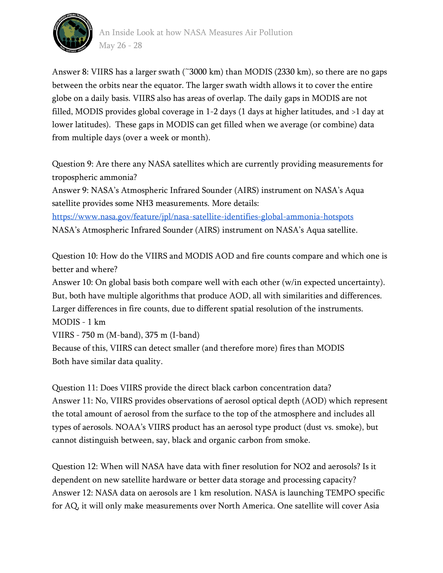

Answer 8: VIIRS has a larger swath (~3000 km) than MODIS (2330 km), so there are no gaps between the orbits near the equator. The larger swath width allows it to cover the entire globe on a daily basis. VIIRS also has areas of overlap. The daily gaps in MODIS are not filled, MODIS provides global coverage in 1-2 days (1 days at higher latitudes, and >1 day at lower latitudes). These gaps in MODIS can get filled when we average (or combine) data from multiple days (over a week or month).

Question 9: Are there any NASA satellites which are currently providing measurements for tropospheric ammonia?

Answer 9: NASA's Atmospheric Infrared Sounder (AIRS) instrument on NASA's Aqua satellite provides some NH3 measurements. More details: <https://www.nasa.gov/feature/jpl/nasa-satellite-identifies-global-ammonia-hotspots> NASA's Atmospheric Infrared Sounder (AIRS) instrument on NASA's Aqua satellite.

Question 10: How do the VIIRS and MODIS AOD and fire counts compare and which one is better and where?

Answer 10: On global basis both compare well with each other (w/in expected uncertainty). But, both have multiple algorithms that produce AOD, all with similarities and differences. Larger differences in fire counts, due to different spatial resolution of the instruments. MODIS - 1 km

VIIRS - 750 m (M-band), 375 m (I-band)

Because of this, VIIRS can detect smaller (and therefore more) fires than MODIS Both have similar data quality.

Question 11: Does VIIRS provide the direct black carbon concentration data? Answer 11: No, VIIRS provides observations of aerosol optical depth (AOD) which represent the total amount of aerosol from the surface to the top of the atmosphere and includes all types of aerosols. NOAA's VIIRS product has an aerosol type product (dust vs. smoke), but cannot distinguish between, say, black and organic carbon from smoke.

Question 12: When will NASA have data with finer resolution for NO2 and aerosols? Is it dependent on new satellite hardware or better data storage and processing capacity? Answer 12: NASA data on aerosols are 1 km resolution. NASA is launching TEMPO specific for AQ, it will only make measurements over North America. One satellite will cover Asia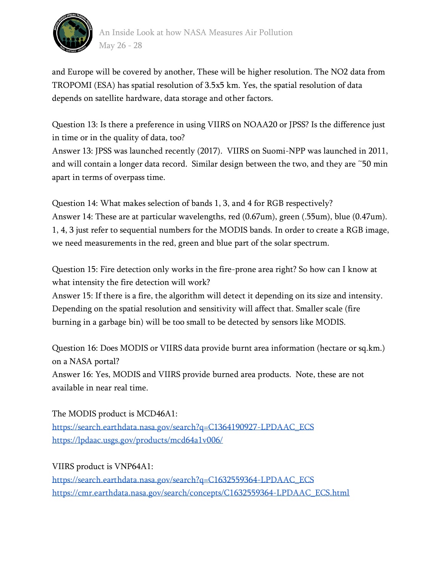

and Europe will be covered by another, These will be higher resolution. The NO2 data from TROPOMI (ESA) has spatial resolution of 3.5x5 km. Yes, the spatial resolution of data depends on satellite hardware, data storage and other factors.

Question 13: Is there a preference in using VIIRS on NOAA20 or JPSS? Is the difference just in time or in the quality of data, too?

Answer 13: JPSS was launched recently (2017). VIIRS on Suomi-NPP was launched in 2011, and will contain a longer data record. Similar design between the two, and they are ~50 min apart in terms of overpass time.

Question 14: What makes selection of bands 1, 3, and 4 for RGB respectively? Answer 14: These are at particular wavelengths, red (0.67um), green (.55um), blue (0.47um). 1, 4, 3 just refer to sequential numbers for the MODIS bands. In order to create a RGB image, we need measurements in the red, green and blue part of the solar spectrum.

Question 15: Fire detection only works in the fire-prone area right? So how can I know at what intensity the fire detection will work?

Answer 15: If there is a fire, the algorithm will detect it depending on its size and intensity. Depending on the spatial resolution and sensitivity will affect that. Smaller scale (fire burning in a garbage bin) will be too small to be detected by sensors like MODIS.

Question 16: Does MODIS or VIIRS data provide burnt area information (hectare or sq.km.) on a NASA portal?

Answer 16: Yes, MODIS and VIIRS provide burned area products. Note, these are not available in near real time.

The MODIS product is MCD46A1: [https://search.earthdata.nasa.gov/search?q=C1364190927-LPDAAC\\_ECS](https://search.earthdata.nasa.gov/search?q=C1364190927-LPDAAC_ECS) <https://lpdaac.usgs.gov/products/mcd64a1v006/>

VIIRS product is VNP64A1: [https://search.earthdata.nasa.gov/search?q=C1632559364-LPDAAC\\_ECS](https://search.earthdata.nasa.gov/search?q=C1632559364-LPDAAC_ECS) [https://cmr.earthdata.nasa.gov/search/concepts/C1632559364-LPDAAC\\_ECS.html](https://cmr.earthdata.nasa.gov/search/concepts/C1632559364-LPDAAC_ECS.html)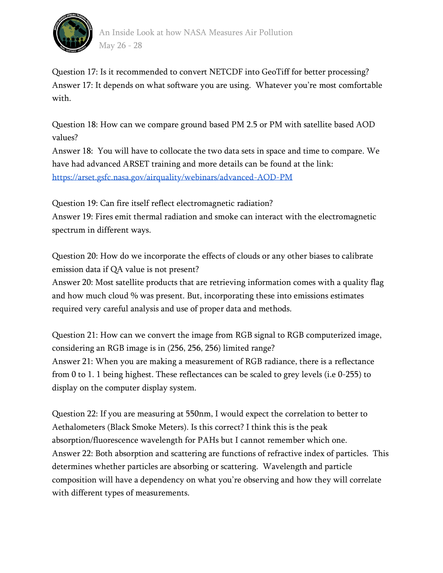

Question 17: Is it recommended to convert NETCDF into GeoTiff for better processing? Answer 17: It depends on what software you are using. Whatever you're most comfortable with.

Question 18: How can we compare ground based PM 2.5 or PM with satellite based AOD values?

Answer 18: You will have to collocate the two data sets in space and time to compare. We have had advanced ARSET training and more details can be found at the link: <https://arset.gsfc.nasa.gov/airquality/webinars/advanced-AOD-PM>

Question 19: Can fire itself reflect electromagnetic radiation? Answer 19: Fires emit thermal radiation and smoke can interact with the electromagnetic spectrum in different ways.

Question 20: How do we incorporate the effects of clouds or any other biases to calibrate emission data if QA value is not present?

Answer 20: Most satellite products that are retrieving information comes with a quality flag and how much cloud % was present. But, incorporating these into emissions estimates required very careful analysis and use of proper data and methods.

Question 21: How can we convert the image from RGB signal to RGB computerized image, considering an RGB image is in (256, 256, 256) limited range? Answer 21: When you are making a measurement of RGB radiance, there is a reflectance from 0 to 1. 1 being highest. These reflectances can be scaled to grey levels (i.e 0-255) to display on the computer display system.

Question 22: If you are measuring at 550nm, I would expect the correlation to better to Aethalometers (Black Smoke Meters). Is this correct? I think this is the peak absorption/fluorescence wavelength for PAHs but I cannot remember which one. Answer 22: Both absorption and scattering are functions of refractive index of particles. This determines whether particles are absorbing or scattering. Wavelength and particle composition will have a dependency on what you're observing and how they will correlate with different types of measurements.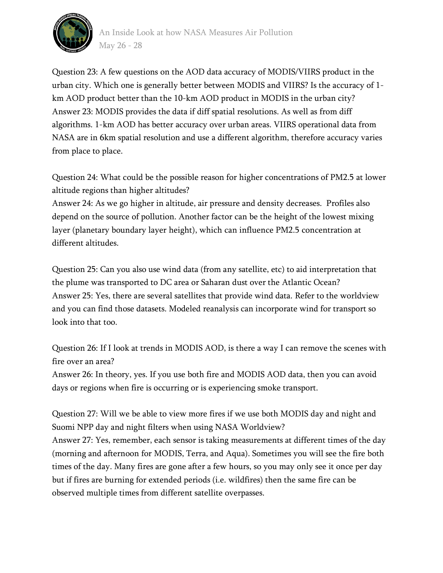

Question 23: A few questions on the AOD data accuracy of MODIS/VIIRS product in the urban city. Which one is generally better between MODIS and VIIRS? Is the accuracy of 1 km AOD product better than the 10-km AOD product in MODIS in the urban city? Answer 23: MODIS provides the data if diff spatial resolutions. As well as from diff algorithms. 1-km AOD has better accuracy over urban areas. VIIRS operational data from NASA are in 6km spatial resolution and use a different algorithm, therefore accuracy varies from place to place.

Question 24: What could be the possible reason for higher concentrations of PM2.5 at lower altitude regions than higher altitudes?

Answer 24: As we go higher in altitude, air pressure and density decreases. Profiles also depend on the source of pollution. Another factor can be the height of the lowest mixing layer (planetary boundary layer height), which can influence PM2.5 concentration at different altitudes.

Question 25: Can you also use wind data (from any satellite, etc) to aid interpretation that the plume was transported to DC area or Saharan dust over the Atlantic Ocean? Answer 25: Yes, there are several satellites that provide wind data. Refer to the worldview and you can find those datasets. Modeled reanalysis can incorporate wind for transport so look into that too.

Question 26: If I look at trends in MODIS AOD, is there a way I can remove the scenes with fire over an area?

Answer 26: In theory, yes. If you use both fire and MODIS AOD data, then you can avoid days or regions when fire is occurring or is experiencing smoke transport.

Question 27: Will we be able to view more fires if we use both MODIS day and night and Suomi NPP day and night filters when using NASA Worldview? Answer 27: Yes, remember, each sensor is taking measurements at different times of the day (morning and afternoon for MODIS, Terra, and Aqua). Sometimes you will see the fire both times of the day. Many fires are gone after a few hours, so you may only see it once per day but if fires are burning for extended periods (i.e. wildfires) then the same fire can be observed multiple times from different satellite overpasses.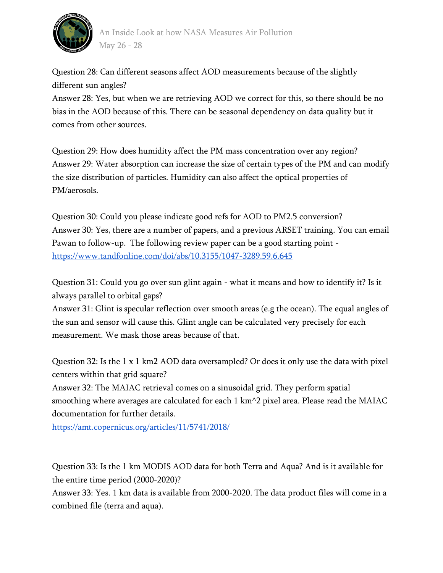

Question 28: Can different seasons affect AOD measurements because of the slightly different sun angles?

Answer 28: Yes, but when we are retrieving AOD we correct for this, so there should be no bias in the AOD because of this. There can be seasonal dependency on data quality but it comes from other sources.

Question 29: How does humidity affect the PM mass concentration over any region? Answer 29: Water absorption can increase the size of certain types of the PM and can modify the size distribution of particles. Humidity can also affect the optical properties of PM/aerosols.

Question 30: Could you please indicate good refs for AOD to PM2.5 conversion? Answer 30: Yes, there are a number of papers, and a previous ARSET training. You can email Pawan to follow-up. The following review paper can be a good starting point <https://www.tandfonline.com/doi/abs/10.3155/1047-3289.59.6.645>

Question 31: Could you go over sun glint again - what it means and how to identify it? Is it always parallel to orbital gaps?

Answer 31: Glint is specular reflection over smooth areas (e.g the ocean). The equal angles of the sun and sensor will cause this. Glint angle can be calculated very precisely for each measurement. We mask those areas because of that.

Question 32: Is the 1 x 1 km2 AOD data oversampled? Or does it only use the data with pixel centers within that grid square?

Answer 32: The MAIAC retrieval comes on a sinusoidal grid. They perform spatial smoothing where averages are calculated for each  $1 \text{ km}^2$  pixel area. Please read the MAIAC documentation for further details.

<https://amt.copernicus.org/articles/11/5741/2018/>

Question 33: Is the 1 km MODIS AOD data for both Terra and Aqua? And is it available for the entire time period (2000-2020)?

Answer 33: Yes. 1 km data is available from 2000-2020. The data product files will come in a combined file (terra and aqua).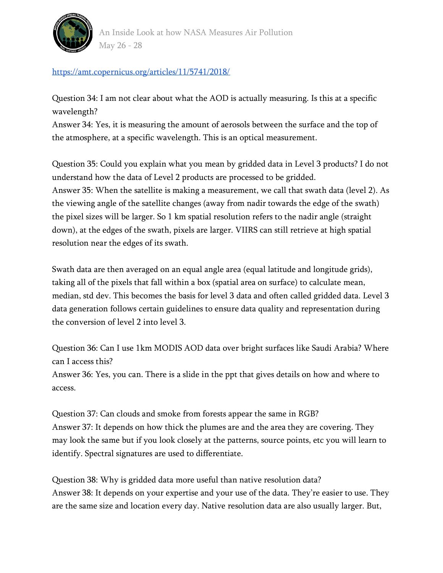

<https://amt.copernicus.org/articles/11/5741/2018/>

Question 34: I am not clear about what the AOD is actually measuring. Is this at a specific wavelength?

Answer 34: Yes, it is measuring the amount of aerosols between the surface and the top of the atmosphere, at a specific wavelength. This is an optical measurement.

Question 35: Could you explain what you mean by gridded data in Level 3 products? I do not understand how the data of Level 2 products are processed to be gridded. Answer 35: When the satellite is making a measurement, we call that swath data (level 2). As the viewing angle of the satellite changes (away from nadir towards the edge of the swath) the pixel sizes will be larger. So 1 km spatial resolution refers to the nadir angle (straight down), at the edges of the swath, pixels are larger. VIIRS can still retrieve at high spatial resolution near the edges of its swath.

Swath data are then averaged on an equal angle area (equal latitude and longitude grids), taking all of the pixels that fall within a box (spatial area on surface) to calculate mean, median, std dev. This becomes the basis for level 3 data and often called gridded data. Level 3 data generation follows certain guidelines to ensure data quality and representation during the conversion of level 2 into level 3.

Question 36: Can I use 1km MODIS AOD data over bright surfaces like Saudi Arabia? Where can I access this?

Answer 36: Yes, you can. There is a slide in the ppt that gives details on how and where to access.

Question 37: Can clouds and smoke from forests appear the same in RGB? Answer 37: It depends on how thick the plumes are and the area they are covering. They may look the same but if you look closely at the patterns, source points, etc you will learn to identify. Spectral signatures are used to differentiate.

Question 38: Why is gridded data more useful than native resolution data? Answer 38: It depends on your expertise and your use of the data. They're easier to use. They are the same size and location every day. Native resolution data are also usually larger. But,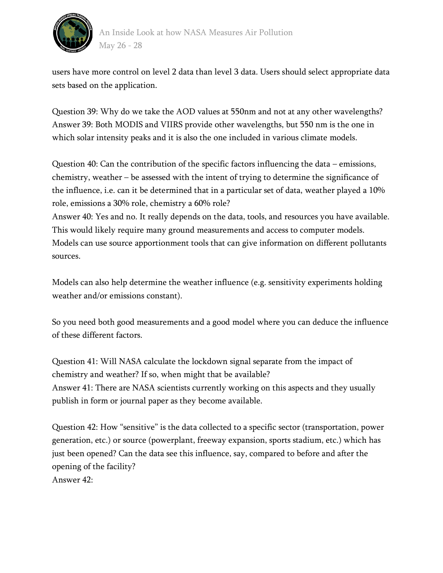

users have more control on level 2 data than level 3 data. Users should select appropriate data sets based on the application.

Question 39: Why do we take the AOD values at 550nm and not at any other wavelengths? Answer 39: Both MODIS and VIIRS provide other wavelengths, but 550 nm is the one in which solar intensity peaks and it is also the one included in various climate models.

Question 40: Can the contribution of the specific factors influencing the data – emissions, chemistry, weather – be assessed with the intent of trying to determine the significance of the influence, i.e. can it be determined that in a particular set of data, weather played a 10% role, emissions a 30% role, chemistry a 60% role?

Answer 40: Yes and no. It really depends on the data, tools, and resources you have available. This would likely require many ground measurements and access to computer models. Models can use source apportionment tools that can give information on different pollutants sources.

Models can also help determine the weather influence (e.g. sensitivity experiments holding weather and/or emissions constant).

So you need both good measurements and a good model where you can deduce the influence of these different factors.

Question 41: Will NASA calculate the lockdown signal separate from the impact of chemistry and weather? If so, when might that be available? Answer 41: There are NASA scientists currently working on this aspects and they usually publish in form or journal paper as they become available.

Question 42: How "sensitive" is the data collected to a specific sector (transportation, power generation, etc.) or source (powerplant, freeway expansion, sports stadium, etc.) which has just been opened? Can the data see this influence, say, compared to before and after the opening of the facility? Answer 42: